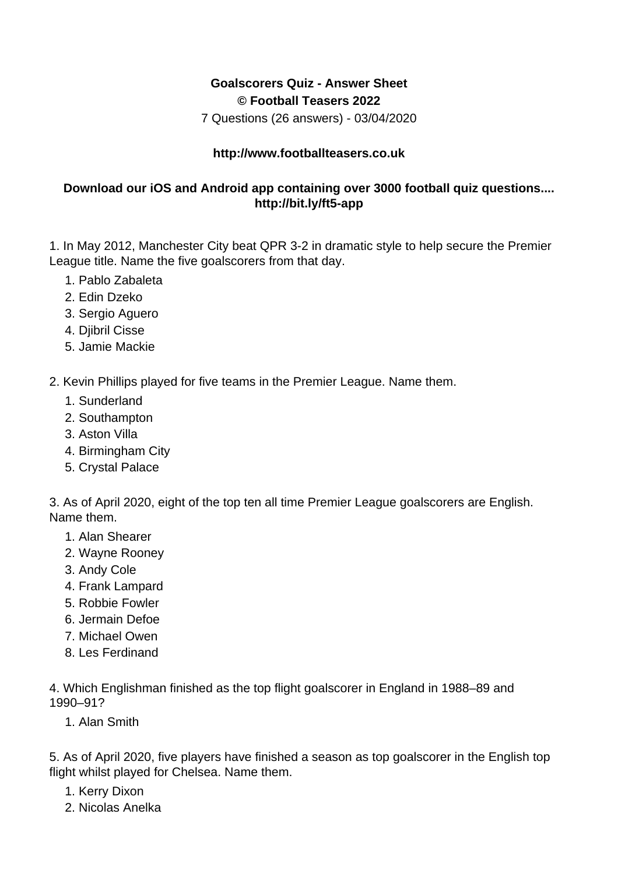## **Goalscorers Quiz - Answer Sheet © Football Teasers 2022**

7 Questions (26 answers) - 03/04/2020

## **http://www.footballteasers.co.uk**

## **Download our iOS and Android app containing over 3000 football quiz questions.... http://bit.ly/ft5-app**

1. In May 2012, Manchester City beat QPR 3-2 in dramatic style to help secure the Premier League title. Name the five goalscorers from that day.

- 1. Pablo Zabaleta
- 2. Edin Dzeko
- 3. Sergio Aguero
- 4. Djibril Cisse
- 5. Jamie Mackie
- 2. Kevin Phillips played for five teams in the Premier League. Name them.
	- 1. Sunderland
	- 2. Southampton
	- 3. Aston Villa
	- 4. Birmingham City
	- 5. Crystal Palace

3. As of April 2020, eight of the top ten all time Premier League goalscorers are English. Name them.

- 1. Alan Shearer
- 2. Wayne Rooney
- 3. Andy Cole
- 4. Frank Lampard
- 5. Robbie Fowler
- 6. Jermain Defoe
- 7. Michael Owen
- 8. Les Ferdinand

4. Which Englishman finished as the top flight goalscorer in England in 1988–89 and 1990–91?

1. Alan Smith

5. As of April 2020, five players have finished a season as top goalscorer in the English top flight whilst played for Chelsea. Name them.

- 1. Kerry Dixon
- 2. Nicolas Anelka